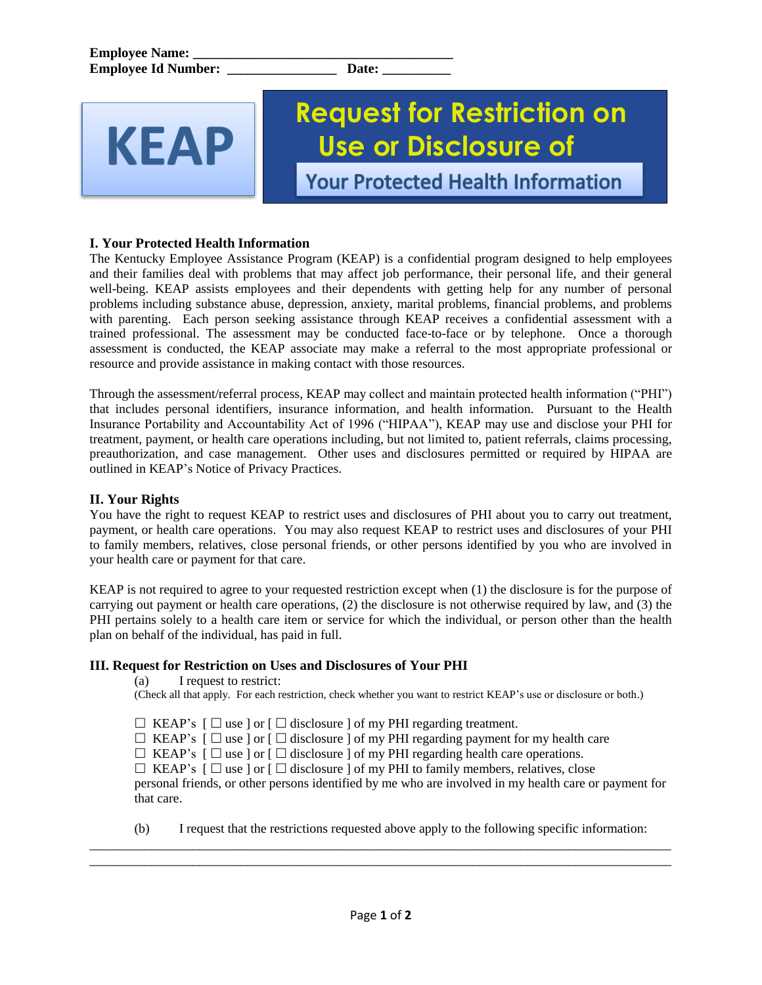KEAP

# **Request for Restriction on Use or Disclosure of**

**Your Protected Health Information** 

## **I. Your Protected Health Information**

The Kentucky Employee Assistance Program (KEAP) is a confidential program designed to help employees and their families deal with problems that may affect job performance, their personal life, and their general well-being. KEAP assists employees and their dependents with getting help for any number of personal problems including substance abuse, depression, anxiety, marital problems, financial problems, and problems with parenting. Each person seeking assistance through KEAP receives a confidential assessment with a trained professional. The assessment may be conducted face-to-face or by telephone. Once a thorough assessment is conducted, the KEAP associate may make a referral to the most appropriate professional or resource and provide assistance in making contact with those resources.

Through the assessment/referral process, KEAP may collect and maintain protected health information ("PHI") that includes personal identifiers, insurance information, and health information. Pursuant to the Health Insurance Portability and Accountability Act of 1996 ("HIPAA"), KEAP may use and disclose your PHI for treatment, payment, or health care operations including, but not limited to, patient referrals, claims processing, preauthorization, and case management. Other uses and disclosures permitted or required by HIPAA are outlined in KEAP's Notice of Privacy Practices.

### **II. Your Rights**

You have the right to request KEAP to restrict uses and disclosures of PHI about you to carry out treatment, payment, or health care operations. You may also request KEAP to restrict uses and disclosures of your PHI to family members, relatives, close personal friends, or other persons identified by you who are involved in your health care or payment for that care.

KEAP is not required to agree to your requested restriction except when (1) the disclosure is for the purpose of carrying out payment or health care operations, (2) the disclosure is not otherwise required by law, and (3) the PHI pertains solely to a health care item or service for which the individual, or person other than the health plan on behalf of the individual, has paid in full.

### **III. Request for Restriction on Uses and Disclosures of Your PHI**

(a) I request to restrict:

(Check all that apply. For each restriction, check whether you want to restrict KEAP's use or disclosure or both.)

 $\Box$  KEAP's  $\Box$  use  $\Box$  or  $\Box$  disclosure  $\Box$  of my PHI regarding treatment.

 $\Box$  KEAP's  $\Box$  use  $\Box$  or  $\Box$  disclosure  $\Box$  of my PHI regarding payment for my health care

 $\Box$  KEAP's  $\Box$  use  $\Box$  or  $\Box$  disclosure  $\Box$  of my PHI regarding health care operations.

 $\Box$  KEAP's  $\Box$  use  $\Box$  or  $\Box$  disclosure  $\Box$  of my PHI to family members, relatives, close personal friends, or other persons identified by me who are involved in my health care or payment for that care.

(b) I request that the restrictions requested above apply to the following specific information:

\_\_\_\_\_\_\_\_\_\_\_\_\_\_\_\_\_\_\_\_\_\_\_\_\_\_\_\_\_\_\_\_\_\_\_\_\_\_\_\_\_\_\_\_\_\_\_\_\_\_\_\_\_\_\_\_\_\_\_\_\_\_\_\_\_\_\_\_\_\_\_\_\_\_\_\_\_\_\_\_\_\_\_\_\_ \_\_\_\_\_\_\_\_\_\_\_\_\_\_\_\_\_\_\_\_\_\_\_\_\_\_\_\_\_\_\_\_\_\_\_\_\_\_\_\_\_\_\_\_\_\_\_\_\_\_\_\_\_\_\_\_\_\_\_\_\_\_\_\_\_\_\_\_\_\_\_\_\_\_\_\_\_\_\_\_\_\_\_\_\_